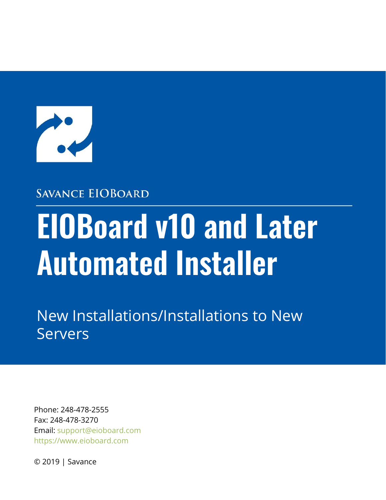

#### **SAVANCE EIOBOARD**

# **EIOBoard v10 and Later Automated Installer**

New Installations/Installations to New Servers

Phone: 248-478-2555 Fax: 248-478-3270 Email: support@eioboard.com [https://www.eioboard.com](https://www.eioboard.com/)

© 2019 | Savance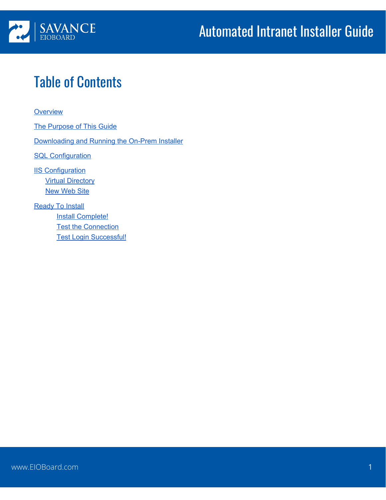

# Table of Contents

#### **[Overview](#page-2-0)**

The [Purpose](#page-2-1) of This Guide

[Downloading](#page-3-0) and Running the On-Prem Installer

**SQL [Configuration](#page-7-0)** 

**IIS [Configuration](#page-9-0) Virtual [Directory](#page-10-0) New [Web](#page-12-0) Site** 

**[Ready](#page-13-0) To Install Install [Complete!](#page-14-0) Test the [Connection](#page-15-0)** Test Login [Successful!](#page-17-0)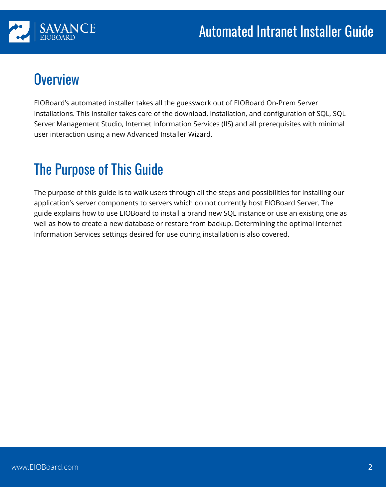

### <span id="page-2-0"></span>**Overview**

EIOBoard's automated installer takes all the guesswork out of EIOBoard On-Prem Server installations. This installer takes care of the download, installation, and configuration of SQL, SQL Server Management Studio, Internet Information Services (IIS) and all prerequisites with minimal user interaction using a new Advanced Installer Wizard.

# <span id="page-2-1"></span>The Purpose of This Guide

The purpose of this guide is to walk users through all the steps and possibilities for installing our application's server components to servers which do not currently host EIOBoard Server. The guide explains how to use EIOBoard to install a brand new SQL instance or use an existing one as well as how to create a new database or restore from backup. Determining the optimal Internet Information Services settings desired for use during installation is also covered.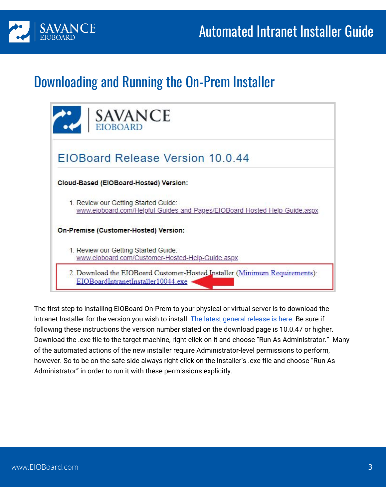

### <span id="page-3-0"></span>Downloading and Running the On-Prem Installer

| <b>SAVANCE</b><br>EIOBOARD                                                                                        |
|-------------------------------------------------------------------------------------------------------------------|
| EIOBoard Release Version 10.0.44                                                                                  |
| Cloud-Based (EIOBoard-Hosted) Version:                                                                            |
| 1. Review our Getting Started Guide:<br>www.eioboard.com/Helpful-Guides-and-Pages/EIOBoard-Hosted-Help-Guide.aspx |
| On-Premise (Customer-Hosted) Version:                                                                             |
| 1. Review our Getting Started Guide:<br>www.eioboard.com/Customer-Hosted-Help-Guide.aspx                          |
| 2. Download the EIOBoard Customer-Hosted Installer (Minimum Requirements):<br>EIOBoardIntranetInstaller10044.exe  |

The first step to installing EIOBoard On-Prem to your physical or virtual server is to download the Intranet Installer for the version you wish to install. The latest [general](https://www.eioboard.com/downloads/latest/) release is here. Be sure if following these instructions the version number stated on the download page is 10.0.47 or higher. Download the .exe file to the target machine, right-click on it and choose "Run As Administrator." Many of the automated actions of the new installer require Administrator-level permissions to perform, however. So to be on the safe side always right-click on the installer's .exe file and choose "Run As Administrator" in order to run it with these permissions explicitly.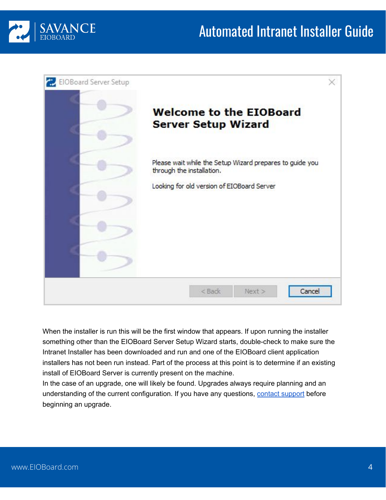



When the installer is run this will be the first window that appears. If upon running the installer something other than the EIOBoard Server Setup Wizard starts, double-check to make sure the Intranet Installer has been downloaded and run and one of the EIOBoard client application installers has not been run instead. Part of the process at this point is to determine if an existing install of EIOBoard Server is currently present on the machine.

In the case of an upgrade, one will likely be found. Upgrades always require planning and an understanding of the current configuration. If you have any questions, contact [support](http://support.savance.com/?eioboard) before beginning an upgrade.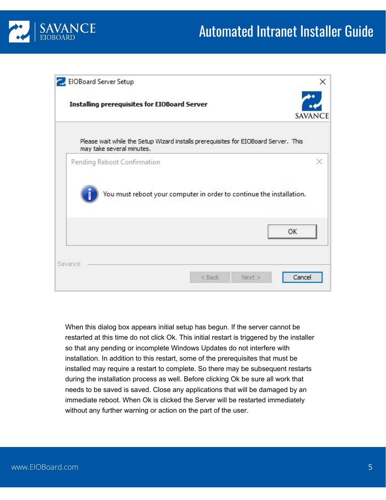

| EIOBoard Server Setup       |                                                                                     | x              |
|-----------------------------|-------------------------------------------------------------------------------------|----------------|
|                             | <b>Installing prerequisites for EIOBoard Server</b>                                 | SAVANCE        |
| may take several minutes.   | Please wait while the Setup Wizard installs prerequisites for EIOBoard Server. This |                |
| Pending Reboot Confirmation | You must reboot your computer in order to continue the installation.                | ×              |
|                             |                                                                                     |                |
|                             |                                                                                     | OK             |
| Savance                     | < Back                                                                              | Cancel<br>Next |

When this dialog box appears initial setup has begun. If the server cannot be restarted at this time do not click Ok. This initial restart is triggered by the installer so that any pending or incomplete Windows Updates do not interfere with installation. In addition to this restart, some of the prerequisites that must be installed may require a restart to complete. So there may be subsequent restarts during the installation process as well. Before clicking Ok be sure all work that needs to be saved is saved. Close any applications that will be damaged by an immediate reboot. When Ok is clicked the Server will be restarted immediately without any further warning or action on the part of the user.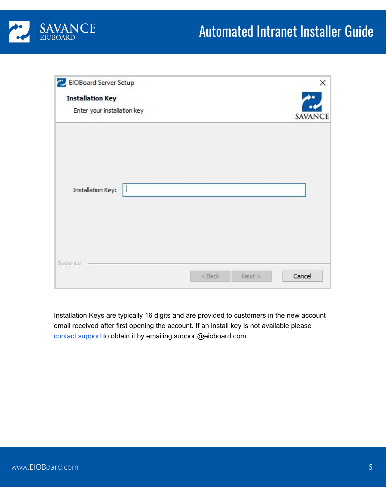

| EIOBoard Server Setup       |                    | ×       |
|-----------------------------|--------------------|---------|
| <b>Installation Key</b>     |                    | ŵ٥      |
| Enter your installation key |                    | SAVANCE |
|                             |                    |         |
|                             |                    |         |
| <b>Installation Key:</b>    |                    |         |
|                             |                    |         |
|                             |                    |         |
| Savance                     |                    |         |
|                             | $<$ Back<br>Next > | Cancel  |

Installation Keys are typically 16 digits and are provided to customers in the new account email received after first opening the account. If an install key is not available please contact [support](http://support.savance.com/?eioboard) to obtain it by emailing support@eioboard.com.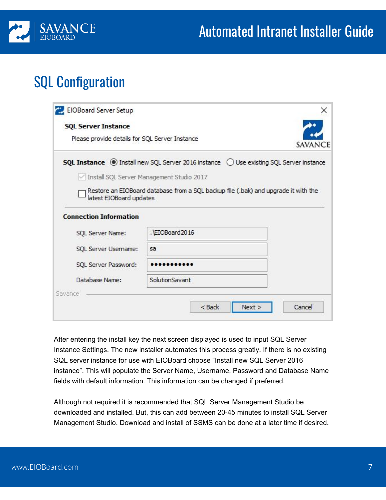

# <span id="page-7-0"></span>SQL Configuration

| <b>SQL Server Instance</b>                            |                                                                                                          |         |
|-------------------------------------------------------|----------------------------------------------------------------------------------------------------------|---------|
| Please provide details for SQL Server Instance        |                                                                                                          | SAVANCE |
|                                                       | <b>SQL Instance</b> (c) Install new SQL Server 2016 instance $\bigcirc$ Use existing SQL Server instance |         |
| Install SQL Server Management Studio 2017             |                                                                                                          |         |
| latest EIOBoard updates                               | Restore an EIOBoard database from a SQL backup file (.bak) and upgrade it with the                       |         |
|                                                       |                                                                                                          |         |
|                                                       |                                                                                                          |         |
|                                                       |                                                                                                          |         |
| SQL Server Name:                                      | . EIOBoard2016                                                                                           |         |
| SQL Server Username:                                  | sa                                                                                                       |         |
| <b>Connection Information</b><br>SQL Server Password: |                                                                                                          |         |
| Database Name:                                        | SolutionSavant                                                                                           |         |

After entering the install key the next screen displayed is used to input SQL Server Instance Settings. The new installer automates this process greatly. If there is no existing SQL server instance for use with EIOBoard choose "Install new SQL Server 2016 instance". This will populate the Server Name, Username, Password and Database Name fields with default information. This information can be changed if preferred.

Although not required it is recommended that SQL Server Management Studio be downloaded and installed. But, this can add between 20-45 minutes to install SQL Server Management Studio. Download and install of SSMS can be done at a later time if desired.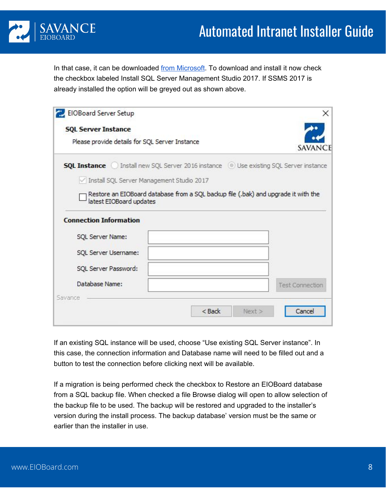

In that case, it can be downloaded from [Microsoft](https://docs.microsoft.com/en-us/sql/ssms/download-sql-server-management-studio-ssms?view=sql-server-2017). To download and install it now check the checkbox labeled Install SQL Server Management Studio 2017. If SSMS 2017 is already installed the option will be greyed out as shown above.

| <b>SQL Server Instance</b>                                                                         |  |                                                                                    |
|----------------------------------------------------------------------------------------------------|--|------------------------------------------------------------------------------------|
| Please provide details for SQL Server Instance                                                     |  | SAVANCE                                                                            |
| <b>SQL Instance</b> ( ) Install new SQL Server 2016 instance ( .) Use existing SQL Server instance |  |                                                                                    |
| Install SQL Server Management Studio 2017                                                          |  |                                                                                    |
|                                                                                                    |  | Restore an EIOBoard database from a SQL backup file (.bak) and upgrade it with the |
| latest EIOBoard updates                                                                            |  |                                                                                    |
| <b>Connection Information</b>                                                                      |  |                                                                                    |
| SQL Server Name:                                                                                   |  |                                                                                    |
| SQL Server Username:                                                                               |  |                                                                                    |
| SQL Server Password:                                                                               |  |                                                                                    |
| Database Name:                                                                                     |  | <b>Test Connection</b>                                                             |

If an existing SQL instance will be used, choose "Use existing SQL Server instance". In this case, the connection information and Database name will need to be filled out and a button to test the connection before clicking next will be available.

If a migration is being performed check the checkbox to Restore an EIOBoard database from a SQL backup file. When checked a file Browse dialog will open to allow selection of the backup file to be used. The backup will be restored and upgraded to the installer's version during the install process. The backup database' version must be the same or earlier than the installer in use.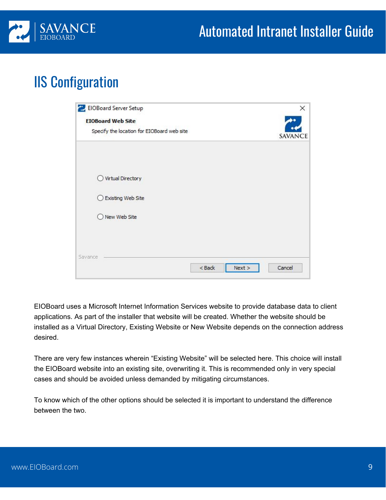

### <span id="page-9-0"></span>IIS Configuration

| EIOBoard Server Setup                      | ×                |
|--------------------------------------------|------------------|
| <b>EIOBoard Web Site</b>                   |                  |
| Specify the location for EIOBoard web site | SAVANCE          |
|                                            |                  |
| Virtual Directory<br>$^{(1)}$              |                  |
| <b>Existing Web Site</b>                   |                  |
| O New Web Site                             |                  |
|                                            |                  |
| Savance                                    |                  |
| $<$ Back                                   | Cancel<br>Next > |

EIOBoard uses a Microsoft Internet Information Services website to provide database data to client applications. As part of the installer that website will be created. Whether the website should be installed as a Virtual Directory, Existing Website or New Website depends on the connection address desired.

There are very few instances wherein "Existing Website" will be selected here. This choice will install the EIOBoard website into an existing site, overwriting it. This is recommended only in very special cases and should be avoided unless demanded by mitigating circumstances.

To know which of the other options should be selected it is important to understand the difference between the two.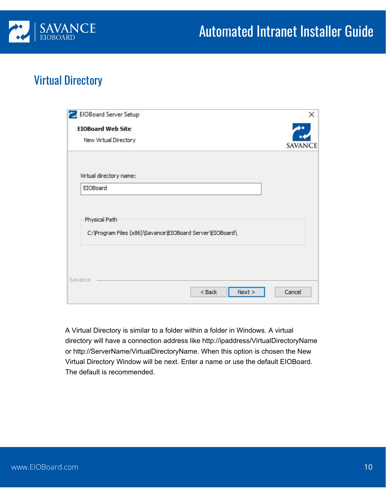

#### <span id="page-10-0"></span>Virtual Directory

| EIOBoard Server Setup                                                     |          |        |         |
|---------------------------------------------------------------------------|----------|--------|---------|
| <b>EIOBoard Web Site</b>                                                  |          |        |         |
| New Virtual Directory                                                     |          |        | SAVANCE |
| Virtual directory name:                                                   |          |        |         |
|                                                                           |          |        |         |
| EIOBoard                                                                  |          |        |         |
| Physical Path<br>C:\Program Files (x86)\Savance\EIOBoard Server\EIOBoard\ |          |        |         |
|                                                                           |          |        |         |
| Savance                                                                   | $<$ Back | Next > | Cancel  |

A Virtual Directory is similar to a folder within a folder in Windows. A virtual directory will have a connection address like http://ipaddress/VirtualDirectoryName or http://ServerName/VirtualDirectoryName. When this option is chosen the New Virtual Directory Window will be next. Enter a name or use the default EIOBoard. The default is recommended.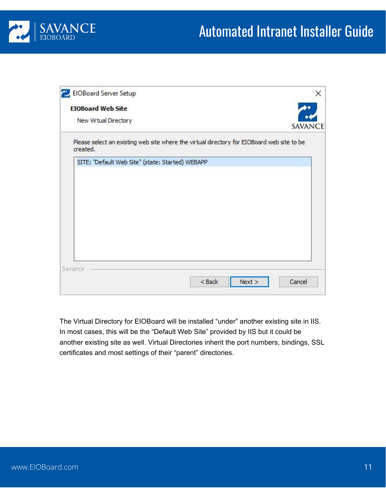

| <b>EIOBoard Web Site</b>                                                                               |  |      |         |
|--------------------------------------------------------------------------------------------------------|--|------|---------|
| New Virtual Directory                                                                                  |  |      | SAVANCE |
| Please select an existing web site where the virtual directory for EIOBoard web site to be<br>created. |  |      |         |
| SITE: "Default Web Site" (state: Started) WEBAPP                                                       |  |      |         |
|                                                                                                        |  |      |         |
|                                                                                                        |  |      |         |
|                                                                                                        |  |      |         |
|                                                                                                        |  |      |         |
|                                                                                                        |  |      |         |
|                                                                                                        |  |      |         |
|                                                                                                        |  |      |         |
| Savance                                                                                                |  |      |         |
|                                                                                                        |  | Next |         |

The Virtual Directory for EIOBoard will be installed "under" another existing site in IIS. In most cases, this will be the "Default Web Site" provided by IIS but it could be another existing site as well. Virtual Directories inherit the port numbers, bindings, SSL certificates and most settings of their "parent" directories.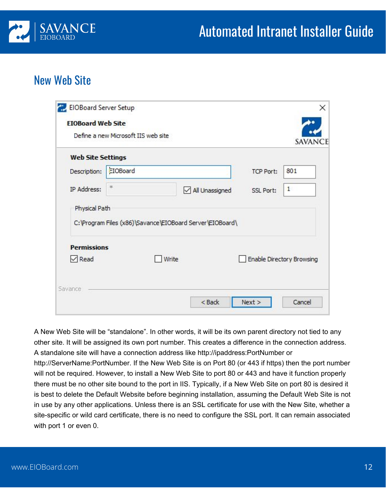

#### <span id="page-12-0"></span>New Web Site

|                          | Define a new Microsoft IIS web site                      |                |                  | SAVANCE                          |
|--------------------------|----------------------------------------------------------|----------------|------------------|----------------------------------|
| <b>Web Site Settings</b> |                                                          |                |                  |                                  |
| Description:             | EIOBoard                                                 |                | <b>TCP Port:</b> | 801                              |
| IP Address:              | 本                                                        | All Unassigned | <b>SSL Port:</b> | $\mathbf{1}$                     |
| Physical Path            | C:\Program Files (x86)\Savance\EIOBoard Server\EIOBoard\ |                |                  |                                  |
| <b>Permissions</b>       | Write                                                    |                |                  | <b>Enable Directory Browsing</b> |

A New Web Site will be "standalone". In other words, it will be its own parent directory not tied to any other site. It will be assigned its own port number. This creates a difference in the connection address. A standalone site will have a connection address like http://ipaddress:PortNumber or http://ServerName:PortNumber. If the New Web Site is on Port 80 (or 443 if https) then the port number will not be required. However, to install a New Web Site to port 80 or 443 and have it function properly there must be no other site bound to the port in IIS. Typically, if a New Web Site on port 80 is desired it is best to delete the Default Website before beginning installation, assuming the Default Web Site is not in use by any other applications. Unless there is an SSL certificate for use with the New Site, whether a site-specific or wild card certificate, there is no need to configure the SSL port. It can remain associated with port 1 or even 0.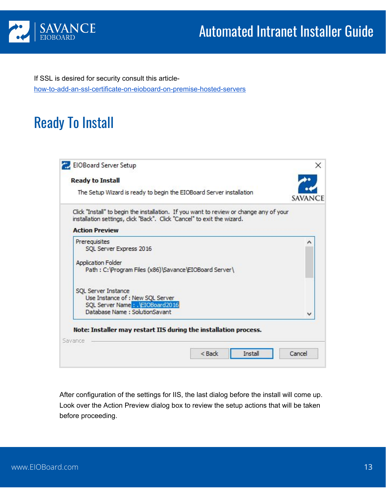

If SSL is desired for security consult this article[how-to-add-an-ssl-certificate-on-eioboard-on-premise-hosted-servers](http://support.savance.com/index.php?/eioboard/Knowledgebase/Article/View/633/0/how-to-add-an-ssl-certificate-on-eioboard-on-premise-hosted-servers)

# <span id="page-13-0"></span>Ready To Install

| The Setup Wizard is ready to begin the EIOBoard Server installation                                                                                              |         |
|------------------------------------------------------------------------------------------------------------------------------------------------------------------|---------|
|                                                                                                                                                                  | SAVANCE |
| Click "Install" to begin the installation. If you want to review or change any of your<br>installation settings, dick "Back". Click "Cancel" to exit the wizard. |         |
| <b>Action Preview</b>                                                                                                                                            |         |
| Prerequisites                                                                                                                                                    | ́       |
| SQL Server Express 2016                                                                                                                                          |         |
| <b>Application Folder</b>                                                                                                                                        |         |
| Path: C:\Program Files (x86)\Savance\EIOBoard Server\                                                                                                            |         |
| SQL Server Instance                                                                                                                                              |         |
| Use Instance of : New SQL Server                                                                                                                                 |         |
| SQL Server Name: NEIOBoard2016<br>Database Name: SolutionSavant                                                                                                  |         |
|                                                                                                                                                                  | v       |

After configuration of the settings for IIS, the last dialog before the install will come up. Look over the Action Preview dialog box to review the setup actions that will be taken before proceeding.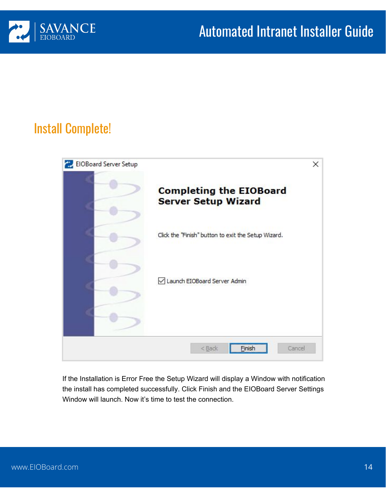

#### <span id="page-14-0"></span>Install Complete!



If the Installation is Error Free the Setup Wizard will display a Window with notification the install has completed successfully. Click Finish and the EIOBoard Server Settings Window will launch. Now it's time to test the connection.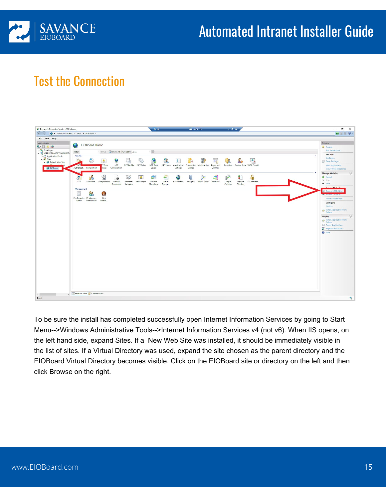

#### <span id="page-15-0"></span>Test the Connection



To be sure the install has completed successfully open Internet Information Services by going to Start Menu-->Windows Administrative Tools-->Internet Information Services v4 (not v6). When IIS opens, on the left hand side, expand Sites. If a New Web Site was installed, it should be immediately visible in the list of sites. If a Virtual Directory was used, expand the site chosen as the parent directory and the EIOBoard Virtual Directory becomes visible. Click on the EIOBoard site or directory on the left and then click Browse on the right.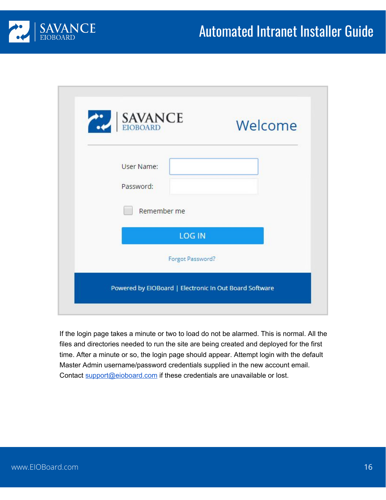

| SAVANCE          | Welcome |
|------------------|---------|
| User Name:       |         |
| Password:        |         |
| Remember me      |         |
| <b>LOG IN</b>    |         |
| Forgot Password? |         |

If the login page takes a minute or two to load do not be alarmed. This is normal. All the files and directories needed to run the site are being created and deployed for the first time. After a minute or so, the login page should appear. Attempt login with the default Master Admin username/password credentials supplied in the new account email. Contact [support@eioboard.com](mailto:support@eioboard.com) if these credentials are unavailable or lost.